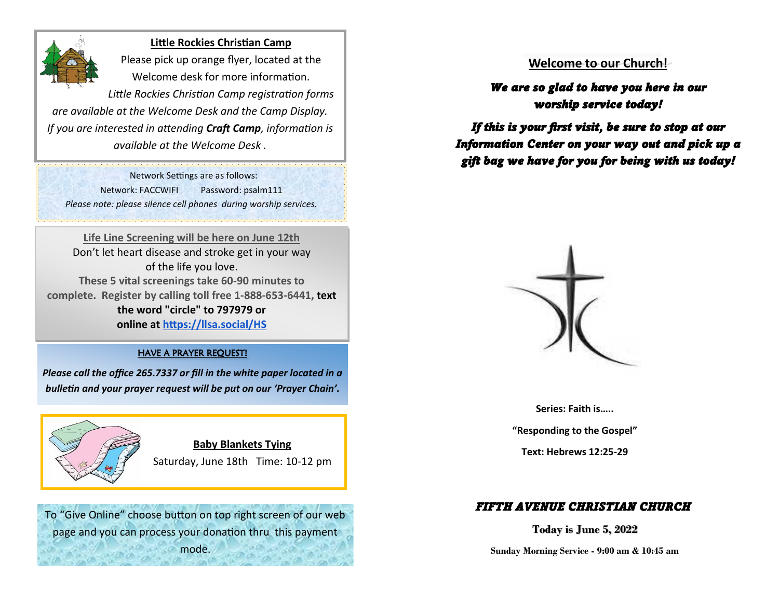

#### **Little Rockies Christian Camp**

Please pick up orange flyer, located at the Welcome desk for more information.

*Little Rockies Christian Camp registration forms are available at the Welcome Desk and the Camp Display. If you are interested in attending Craft Camp, information is available at the Welcome Desk .*

 Network Settings are as follows: Network: FACCWIFI Password: psalm111 *Please note: please silence cell phones during worship services.* 

**Life Line Screening will be here on June 12th**  Don't let heart disease and stroke get in your way of the life you love. **These 5 vital screenings take 60-90 minutes to complete. Register by calling toll free 1-888-653-6441, text the word "circle" to 797979 or online at [https://llsa.social/HS](https://llsa.social/HSC)**

#### HAVE A PRAYER REQUEST!

*Please call the office 265.7337 or fill in the white paper located in a bulletin and your prayer request will be put on our 'Prayer Chain'.*



**Baby Blankets Tying**  Saturday, June 18th Time: 10-12 pm

To "Give Online" choose button on top right screen of our web page and you can process your donation thru this payment mode.

# **Welcome to our Church!**

*We are so glad to have you here in our worship service today!* 

*If this is your first visit, be sure to stop at our Information Center on your way out and pick up a gift bag we have for you for being with us today!* 



**Series: Faith is…..**

**"Responding to the Gospel"** 

**Text: Hebrews 12:25-29**

# *FIFTH AVENUE CHRISTIAN CHURCH*

**Today is June 5, 2022**

**Sunday Morning Service - 9:00 am & 10:45 am**